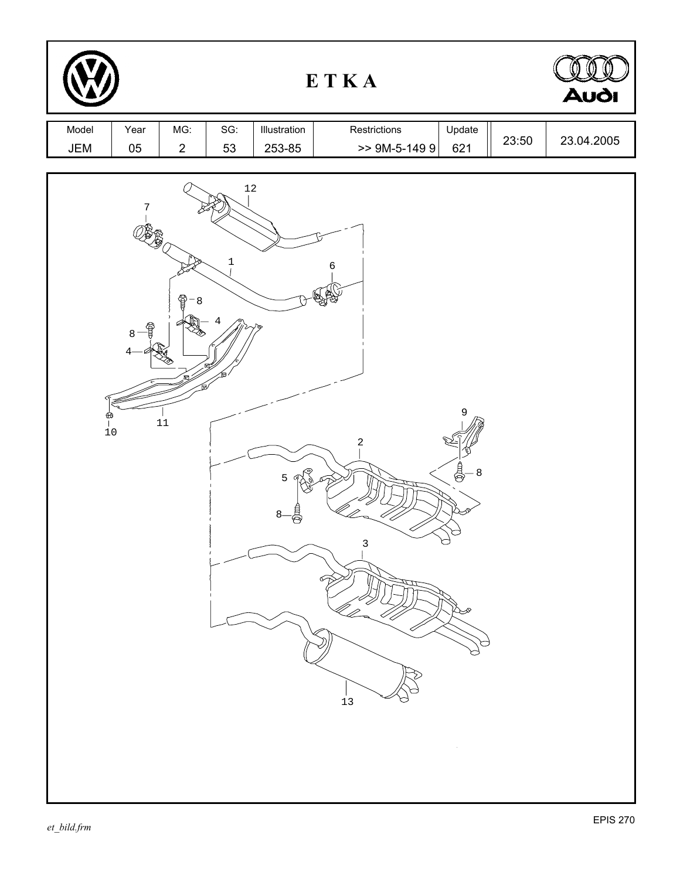|              |                                         | <b>Audi</b>           |                         |                        |                                |                          |       |            |
|--------------|-----------------------------------------|-----------------------|-------------------------|------------------------|--------------------------------|--------------------------|-------|------------|
| Model<br>JEM | Year<br>05                              | MG:<br>$\overline{2}$ | SG:<br>53               | Illustration<br>253-85 | Restrictions<br>$>$ 9M-5-149 9 | Update<br>621            | 23:50 | 23.04.2005 |
|              | 7<br>₽<br>8<br>4<br>$\frac{1}{6}$<br>10 | 9<br>8<br>$11\,$      | $12\,$<br>$\frac{1}{1}$ | 5                      | 6<br>$\sqrt{2}$<br>3<br>$13$   | 9<br>a<br>S<br>$-8$<br>p |       |            |